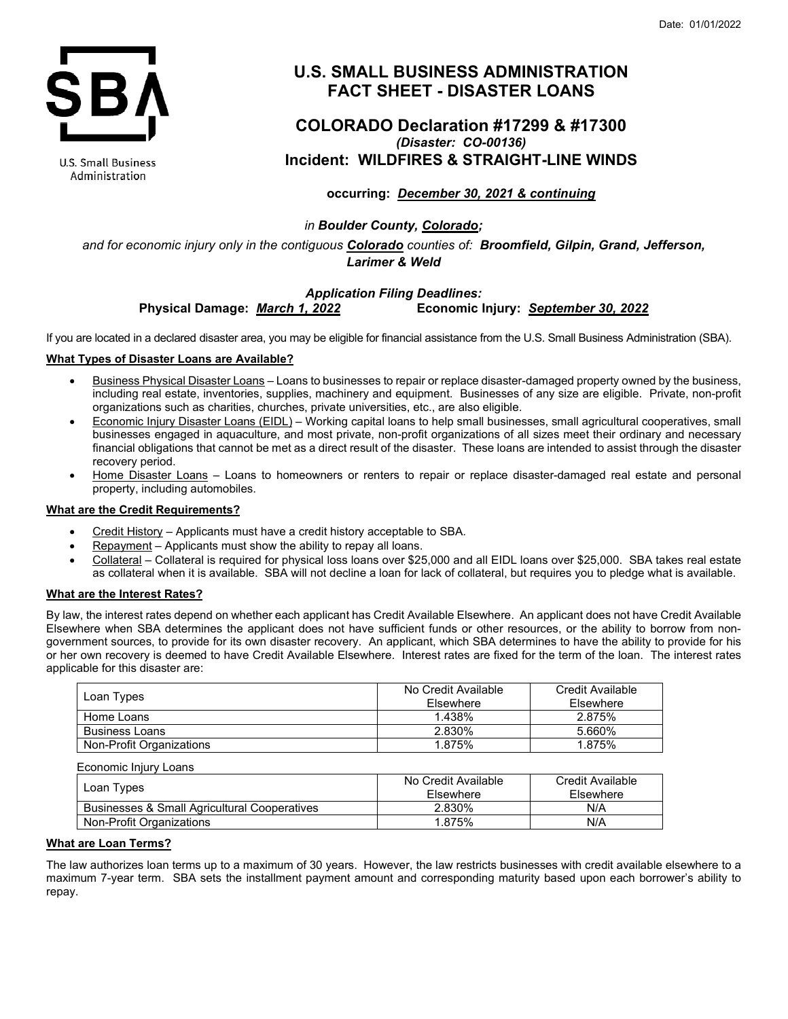

U.S. Small Business Administration

# **U.S. SMALL BUSINESS ADMINISTRATION FACT SHEET - DISASTER LOANS**

## **COLORADO Declaration #17299 & #17300** *(Disaster: CO-00136)* **Incident: WILDFIRES & STRAIGHT-LINE WINDS**

## **occurring:** *December 30, 2021 & continuing*

## *in Boulder County, Colorado;*

*and for economic injury only in the contiguous Colorado counties of: Broomfield, Gilpin, Grand, Jefferson, Larimer & Weld*

## *Application Filing Deadlines:* **Physical Damage:** *March 1, 2022* **Economic Injury:** *September 30, 2022*

If you are located in a declared disaster area, you may be eligible for financial assistance from the U.S. Small Business Administration (SBA).

#### **What Types of Disaster Loans are Available?**

- Business Physical Disaster Loans Loans to businesses to repair or replace disaster-damaged property owned by the business, including real estate, inventories, supplies, machinery and equipment. Businesses of any size are eligible. Private, non-profit organizations such as charities, churches, private universities, etc., are also eligible.
- Economic Injury Disaster Loans (EIDL) Working capital loans to help small businesses, small agricultural cooperatives, small businesses engaged in aquaculture, and most private, non-profit organizations of all sizes meet their ordinary and necessary financial obligations that cannot be met as a direct result of the disaster. These loans are intended to assist through the disaster recovery period.
- Home Disaster Loans Loans to homeowners or renters to repair or replace disaster-damaged real estate and personal property, including automobiles.

#### **What are the Credit Requirements?**

- Credit History Applicants must have a credit history acceptable to SBA.
- Repayment Applicants must show the ability to repay all loans.
- Collateral Collateral is required for physical loss loans over \$25,000 and all EIDL loans over \$25,000. SBA takes real estate as collateral when it is available. SBA will not decline a loan for lack of collateral, but requires you to pledge what is available.

#### **What are the Interest Rates?**

By law, the interest rates depend on whether each applicant has Credit Available Elsewhere. An applicant does not have Credit Available Elsewhere when SBA determines the applicant does not have sufficient funds or other resources, or the ability to borrow from nongovernment sources, to provide for its own disaster recovery. An applicant, which SBA determines to have the ability to provide for his or her own recovery is deemed to have Credit Available Elsewhere. Interest rates are fixed for the term of the loan. The interest rates applicable for this disaster are:

| Loan Types               | No Credit Available<br><b>Fisewhere</b> | Credit Available<br>Elsewhere |
|--------------------------|-----------------------------------------|-------------------------------|
| Home Loans               | 1.438%                                  | 2.875%                        |
| <b>Business Loans</b>    | 2.830%                                  | 5.660%                        |
| Non-Profit Organizations | 1.875%                                  | 1.875%                        |

| LCONONING INIGHT LOCHS                                  |                                  |                               |
|---------------------------------------------------------|----------------------------------|-------------------------------|
| Loan Types                                              | No Credit Available<br>Elsewhere | Credit Available<br>Elsewhere |
| <b>Businesses &amp; Small Agricultural Cooperatives</b> | 2.830%                           | N/A                           |
| Non-Profit Organizations                                | 1.875%                           | N/A                           |

#### **What are Loan Terms?**

Economic Injury Loans

The law authorizes loan terms up to a maximum of 30 years. However, the law restricts businesses with credit available elsewhere to a maximum 7-year term. SBA sets the installment payment amount and corresponding maturity based upon each borrower's ability to repay.